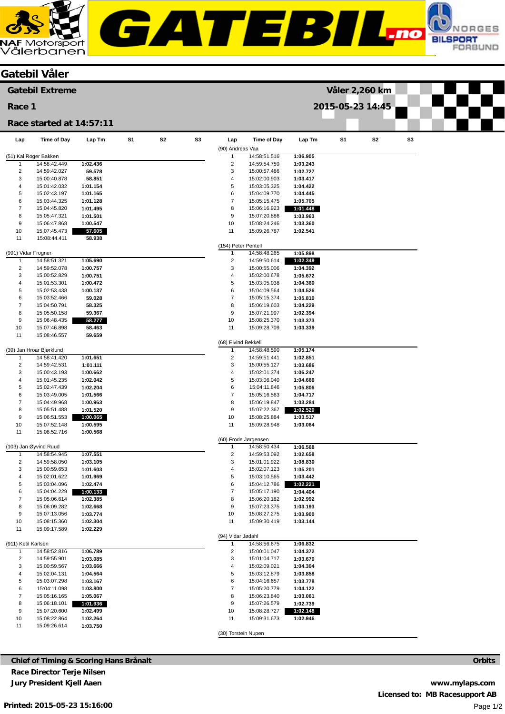**GATEBIL** 

| <b>JAF</b> Motorsport<br>Vålerbanen |
|-------------------------------------|

|                              | <b>Gatebil Våler</b>                  |                      |    |                |                |                                |                              |                      |                |                |    |  |  |
|------------------------------|---------------------------------------|----------------------|----|----------------|----------------|--------------------------------|------------------------------|----------------------|----------------|----------------|----|--|--|
|                              | <b>Gatebil Extreme</b>                |                      |    |                |                |                                |                              |                      | Våler 2,260 km |                |    |  |  |
| Race 1                       |                                       |                      |    |                |                | 2015-05-23 14:45               |                              |                      |                |                |    |  |  |
|                              | Race started at 14:57:11              |                      |    |                |                |                                |                              |                      |                |                |    |  |  |
| Lap                          | Time of Day                           | Lap Tm               | S1 | S <sub>2</sub> | S <sub>3</sub> | Lap                            | <b>Time of Day</b>           | Lap Tm               | S <sub>1</sub> | S <sub>2</sub> | S3 |  |  |
|                              |                                       |                      |    |                |                | (90) Andreas Vaa               | 14:58:51.516                 |                      |                |                |    |  |  |
| 1                            | (51) Kai Roger Bakken<br>14:58:42.449 | 1:02.436             |    |                |                | $\mathbf{1}$<br>$\overline{2}$ | 14:59:54.759                 | 1:06.905<br>1:03.243 |                |                |    |  |  |
| $\overline{2}$               | 14:59:42.027                          | 59.578               |    |                |                | 3                              | 15:00:57.486                 | 1:02.727             |                |                |    |  |  |
| 3                            | 15:00:40.878                          | 58.851               |    |                |                | $\overline{4}$                 | 15:02:00.903                 | 1:03.417             |                |                |    |  |  |
| 4                            | 15:01:42.032                          | 1:01.154             |    |                |                | 5                              | 15:03:05.325                 | 1:04.422             |                |                |    |  |  |
| 5<br>6                       | 15:02:43.197                          | 1:01.165             |    |                |                | 6<br>$\boldsymbol{7}$          | 15:04:09.770                 | 1:04.445             |                |                |    |  |  |
| 7                            | 15:03:44.325<br>15:04:45.820          | 1:01.128<br>1:01.495 |    |                |                | 8                              | 15:05:15.475<br>15:06:16.923 | 1:05.705<br>1:01.448 |                |                |    |  |  |
| 8                            | 15:05:47.321                          | 1:01.501             |    |                |                | $\boldsymbol{9}$               | 15:07:20.886                 | 1:03.963             |                |                |    |  |  |
| 9                            | 15:06:47.868                          | 1:00.547             |    |                |                | 10                             | 15:08:24.246                 | 1:03.360             |                |                |    |  |  |
| 10                           | 15:07:45.473                          | 57.605               |    |                |                | 11                             | 15:09:26.787                 | 1:02.541             |                |                |    |  |  |
| 11                           | 15:08:44.411                          | 58.938               |    |                |                | (154) Peter Pentell            |                              |                      |                |                |    |  |  |
| (991) Vidar Frogner          |                                       |                      |    |                |                | -1                             | 14:58:48.265                 | 1:05.898             |                |                |    |  |  |
| $\mathbf{1}$                 | 14:58:51.321                          | 1:05.690             |    |                |                | $\overline{c}$                 | 14:59:50.614                 | 1:02.349             |                |                |    |  |  |
| $\overline{2}$               | 14:59:52.078                          | 1:00.757             |    |                |                | 3                              | 15:00:55.006                 | 1:04.392             |                |                |    |  |  |
| 3                            | 15:00:52.829                          | 1:00.751             |    |                |                | $\overline{4}$                 | 15:02:00.678                 | 1:05.672             |                |                |    |  |  |
| 4<br>5                       | 15:01:53.301<br>15:02:53.438          | 1:00.472<br>1:00.137 |    |                |                | 5<br>6                         | 15:03:05.038<br>15:04:09.564 | 1:04.360<br>1:04.526 |                |                |    |  |  |
| 6                            | 15:03:52.466                          | 59.028               |    |                |                | $\overline{7}$                 | 15:05:15.374                 | 1:05.810             |                |                |    |  |  |
| 7                            | 15:04:50.791                          | 58.325               |    |                |                | 8                              | 15:06:19.603                 | 1:04.229             |                |                |    |  |  |
| 8                            | 15:05:50.158                          | 59.367               |    |                |                | $\boldsymbol{9}$               | 15:07:21.997                 | 1:02.394             |                |                |    |  |  |
| 9                            | 15:06:48.435                          | 58.277               |    |                |                | 10                             | 15:08:25.370                 | 1:03.373             |                |                |    |  |  |
| 10<br>11                     | 15:07:46.898<br>15:08:46.557          | 58.463<br>59.659     |    |                |                | 11                             | 15:09:28.709                 | 1:03.339             |                |                |    |  |  |
|                              |                                       |                      |    |                |                | (68) Eivind Bekkeli            |                              |                      |                |                |    |  |  |
|                              | (39) Jan Hroar Bjørklund              |                      |    |                |                | $\mathbf{1}$                   | 14:58:48.590                 | 1:05.174             |                |                |    |  |  |
| $\mathbf{1}$                 | 14:58:41.420                          | 1:01.651             |    |                |                | $\overline{2}$                 | 14:59:51.441                 | 1:02.851             |                |                |    |  |  |
| $\overline{\mathbf{c}}$<br>3 | 14:59:42.531<br>15:00:43.193          | 1:01.111<br>1:00.662 |    |                |                | 3<br>$\overline{4}$            | 15:00:55.127<br>15:02:01.374 | 1:03.686<br>1:06.247 |                |                |    |  |  |
| 4                            | 15:01:45.235                          | 1:02.042             |    |                |                | 5                              | 15:03:06.040                 | 1:04.666             |                |                |    |  |  |
| 5                            | 15:02:47.439                          | 1:02.204             |    |                |                | 6                              | 15:04:11.846                 | 1:05.806             |                |                |    |  |  |
| 6                            | 15:03:49.005                          | 1:01.566             |    |                |                | $\overline{7}$                 | 15:05:16.563                 | 1:04.717             |                |                |    |  |  |
| 7                            | 15:04:49.968                          | 1:00.963             |    |                |                | 8                              | 15:06:19.847                 | 1:03.284             |                |                |    |  |  |
| 8<br>9                       | 15:05:51.488<br>15:06:51.553          | 1:01.520<br>1:00.065 |    |                |                | 9<br>10                        | 15:07:22.367<br>15:08:25.884 | 1:02.520<br>1:03.517 |                |                |    |  |  |
| 10                           | 15:07:52.148                          | 1:00.595             |    |                |                | 11                             | 15:09:28.948                 | 1:03.064             |                |                |    |  |  |
| 11                           | 15:08:52.716                          | 1:00.568             |    |                |                |                                |                              |                      |                |                |    |  |  |
|                              | (103) Jan Øyvind Ruud                 |                      |    |                |                | (60) Frode Jørgensen           | 14:58:50.434                 | 1:06.568             |                |                |    |  |  |
| $\mathbf{1}$                 | 14:58:54.945                          | 1:07.551             |    |                |                | $\overline{c}$                 | 14:59:53.092                 | 1:02.658             |                |                |    |  |  |
| $\overline{c}$               | 14:59:58.050                          | 1:03.105             |    |                |                | 3                              | 15:01:01.922                 | 1:08.830             |                |                |    |  |  |
| 3                            | 15:00:59.653                          | 1:01.603             |    |                |                | 4                              | 15:02:07.123                 | 1:05.201             |                |                |    |  |  |
| 4                            | 15:02:01.622                          | 1:01.969             |    |                |                | $\,$ 5 $\,$                    | 15:03:10.565                 | 1:03.442             |                |                |    |  |  |
| 5<br>6                       | 15:03:04.096<br>15:04:04.229          | 1:02.474<br>1:00.133 |    |                |                | 6<br>$\overline{7}$            | 15:04:12.786<br>15:05:17.190 | 1:02.221<br>1:04.404 |                |                |    |  |  |
| 7                            | 15:05:06.614                          | 1:02.385             |    |                |                | 8                              | 15:06:20.182                 | 1:02.992             |                |                |    |  |  |
| 8                            | 15:06:09.282                          | 1:02.668             |    |                |                | $\boldsymbol{9}$               | 15:07:23.375                 | 1:03.193             |                |                |    |  |  |
| 9                            | 15:07:13.056                          | 1:03.774             |    |                |                | 10                             | 15:08:27.275                 | 1:03.900             |                |                |    |  |  |
| 10<br>11                     | 15:08:15.360<br>15:09:17.589          | 1:02.304<br>1:02.229 |    |                |                | 11                             | 15:09:30.419                 | 1:03.144             |                |                |    |  |  |
|                              |                                       |                      |    |                |                | (94) Vidar Jødahl              |                              |                      |                |                |    |  |  |
| (911) Ketil Karlsen          |                                       |                      |    |                |                | 1                              | 14:58:56.675                 | 1:06.832             |                |                |    |  |  |
| 1                            | 14:58:52.816                          | 1:06.789             |    |                |                | $\overline{2}$                 | 15:00:01.047                 | 1:04.372             |                |                |    |  |  |
| $\overline{\mathbf{c}}$<br>3 | 14:59:55.901<br>15:00:59.567          | 1:03.085<br>1:03.666 |    |                |                | 3<br>$\overline{4}$            | 15:01:04.717<br>15:02:09.021 | 1:03.670<br>1:04.304 |                |                |    |  |  |
| 4                            | 15:02:04.131                          | 1:04.564             |    |                |                | $\,$ 5 $\,$                    | 15:03:12.879                 | 1:03.858             |                |                |    |  |  |
| 5                            | 15:03:07.298                          | 1:03.167             |    |                |                | 6                              | 15:04:16.657                 | 1:03.778             |                |                |    |  |  |
| 6                            | 15:04:11.098                          | 1:03.800             |    |                |                | $\overline{7}$                 | 15:05:20.779                 | 1:04.122             |                |                |    |  |  |
| $\overline{7}$               | 15:05:16.165                          | 1:05.067             |    |                |                | 8                              | 15:06:23.840                 | 1:03.061             |                |                |    |  |  |
| 8<br>9                       | 15:06:18.101<br>15:07:20.600          | 1:01.936<br>1:02.499 |    |                |                | $\boldsymbol{9}$<br>10         | 15:07:26.579<br>15:08:28.727 | 1:02.739<br>1:02.148 |                |                |    |  |  |
| 10                           | 15:08:22.864                          | 1:02.264             |    |                |                | 11                             | 15:09:31.673                 | 1:02.946             |                |                |    |  |  |
| 11                           | 15:09:26.614                          | 1:03.750             |    |                |                |                                |                              |                      |                |                |    |  |  |
|                              |                                       |                      |    |                |                | (30) Torstein Nupen            |                              |                      |                |                |    |  |  |

WORGES

ORBUND

**BILSPORT**